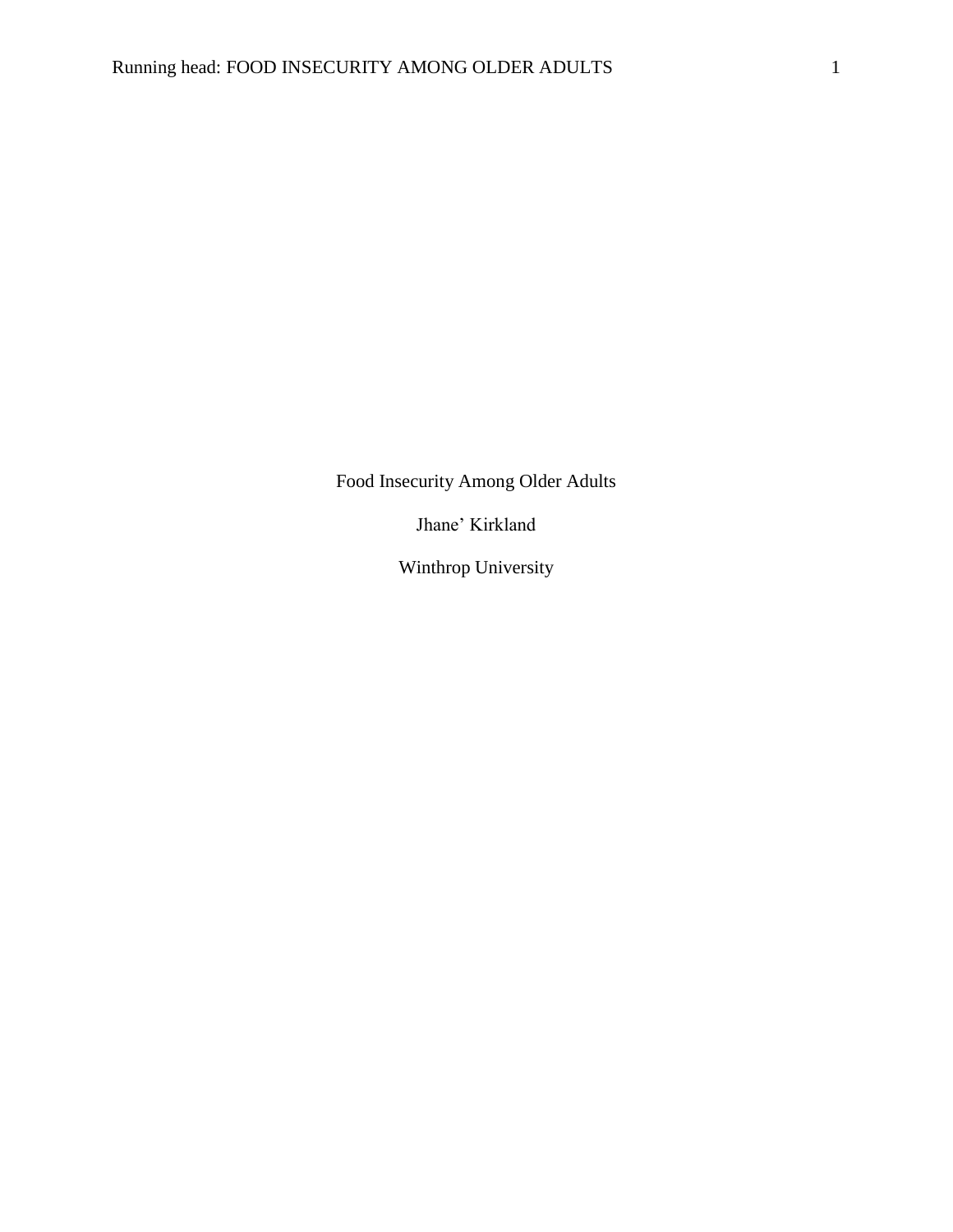Food Insecurity Among Older Adults

Jhane' Kirkland

Winthrop University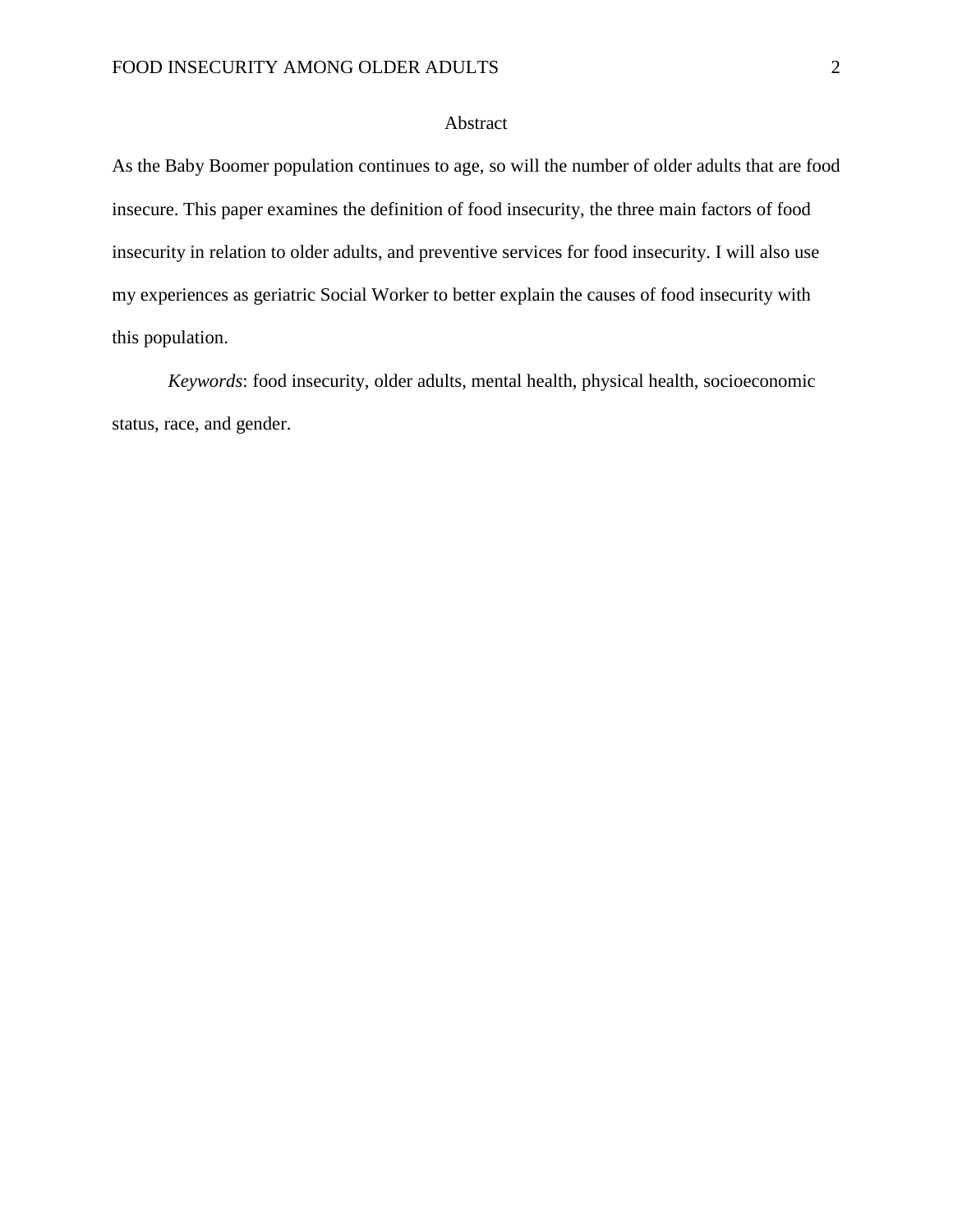## Abstract

As the Baby Boomer population continues to age, so will the number of older adults that are food insecure. This paper examines the definition of food insecurity, the three main factors of food insecurity in relation to older adults, and preventive services for food insecurity. I will also use my experiences as geriatric Social Worker to better explain the causes of food insecurity with this population.

*Keywords*: food insecurity, older adults, mental health, physical health, socioeconomic status, race, and gender.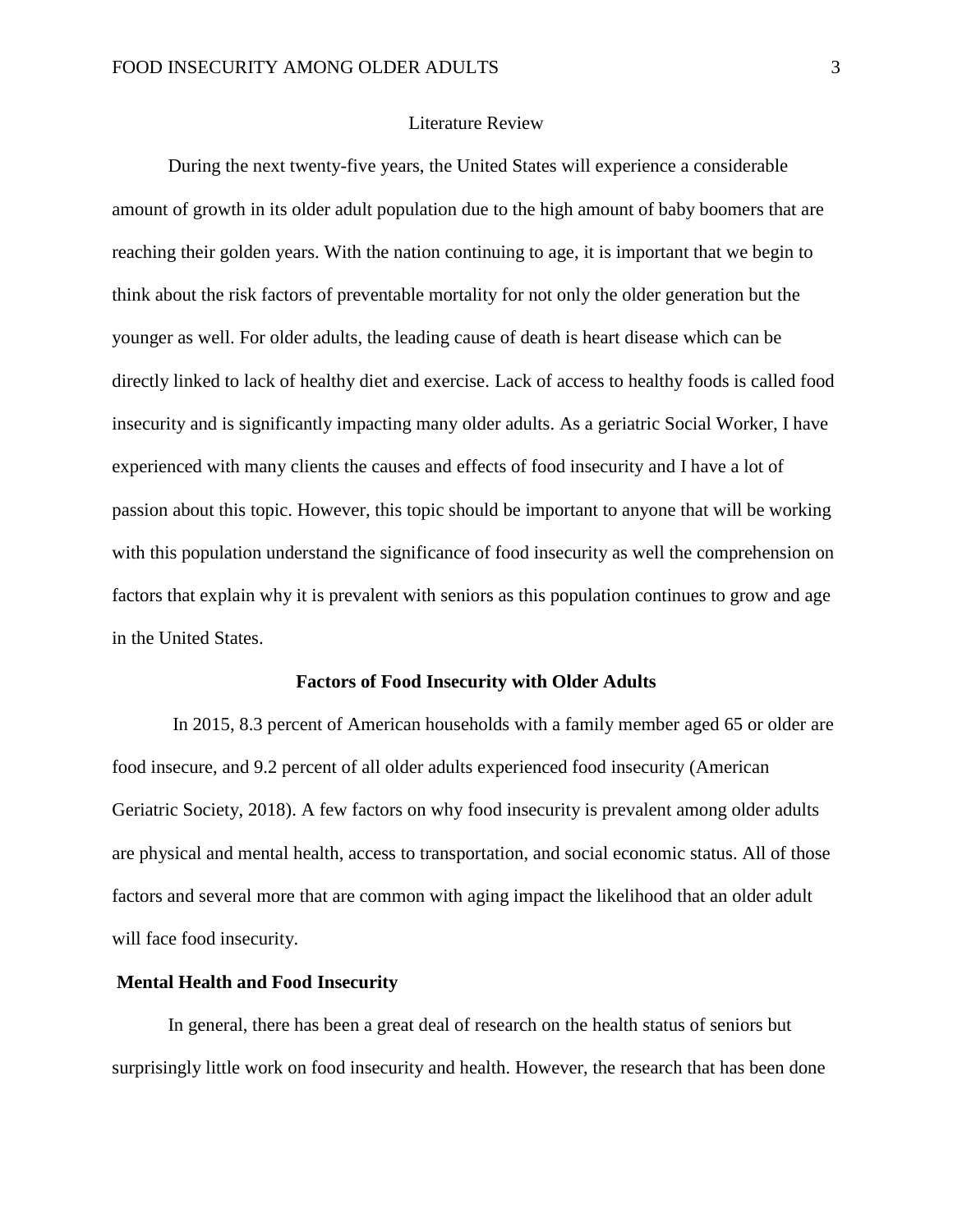## Literature Review

During the next twenty-five years, the United States will experience a considerable amount of growth in its older adult population due to the high amount of baby boomers that are reaching their golden years. With the nation continuing to age, it is important that we begin to think about the risk factors of preventable mortality for not only the older generation but the younger as well. For older adults, the leading cause of death is heart disease which can be directly linked to lack of healthy diet and exercise. Lack of access to healthy foods is called food insecurity and is significantly impacting many older adults. As a geriatric Social Worker, I have experienced with many clients the causes and effects of food insecurity and I have a lot of passion about this topic. However, this topic should be important to anyone that will be working with this population understand the significance of food insecurity as well the comprehension on factors that explain why it is prevalent with seniors as this population continues to grow and age in the United States.

#### **Factors of Food Insecurity with Older Adults**

In 2015, 8.3 percent of American households with a family member aged 65 or older are food insecure, and 9.2 percent of all older adults experienced food insecurity (American Geriatric Society, 2018). A few factors on why food insecurity is prevalent among older adults are physical and mental health, access to transportation, and social economic status. All of those factors and several more that are common with aging impact the likelihood that an older adult will face food insecurity.

#### **Mental Health and Food Insecurity**

In general, there has been a great deal of research on the health status of seniors but surprisingly little work on food insecurity and health. However, the research that has been done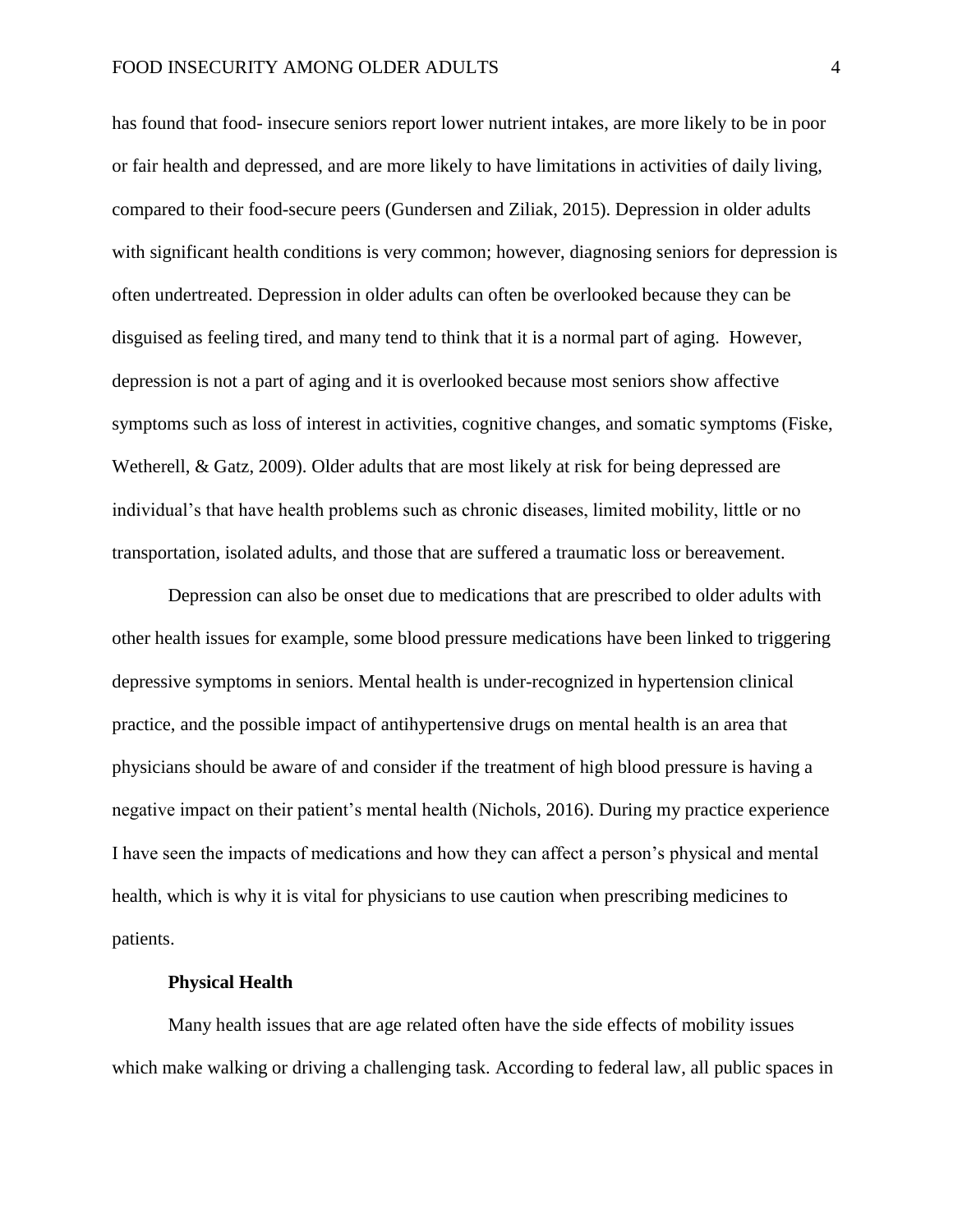has found that food- insecure seniors report lower nutrient intakes, are more likely to be in poor or fair health and depressed, and are more likely to have limitations in activities of daily living, compared to their food-secure peers (Gundersen and Ziliak, 2015). Depression in older adults with significant health conditions is very common; however, diagnosing seniors for depression is often undertreated. Depression in older adults can often be overlooked because they can be disguised as feeling tired, and many tend to think that it is a normal part of aging. However, depression is not a part of aging and it is overlooked because most seniors show affective symptoms such as loss of interest in activities, cognitive changes, and somatic symptoms (Fiske, Wetherell, & Gatz, 2009). Older adults that are most likely at risk for being depressed are individual's that have health problems such as chronic diseases, limited mobility, little or no transportation, isolated adults, and those that are suffered a traumatic loss or bereavement.

Depression can also be onset due to medications that are prescribed to older adults with other health issues for example, some blood pressure medications have been linked to triggering depressive symptoms in seniors. Mental health is under-recognized in hypertension clinical practice, and the possible impact of antihypertensive drugs on mental health is an area that physicians should be aware of and consider if the treatment of high blood pressure is having a negative impact on their patient's mental health (Nichols, 2016). During my practice experience I have seen the impacts of medications and how they can affect a person's physical and mental health, which is why it is vital for physicians to use caution when prescribing medicines to patients.

#### **Physical Health**

Many health issues that are age related often have the side effects of mobility issues which make walking or driving a challenging task. According to federal law, all public spaces in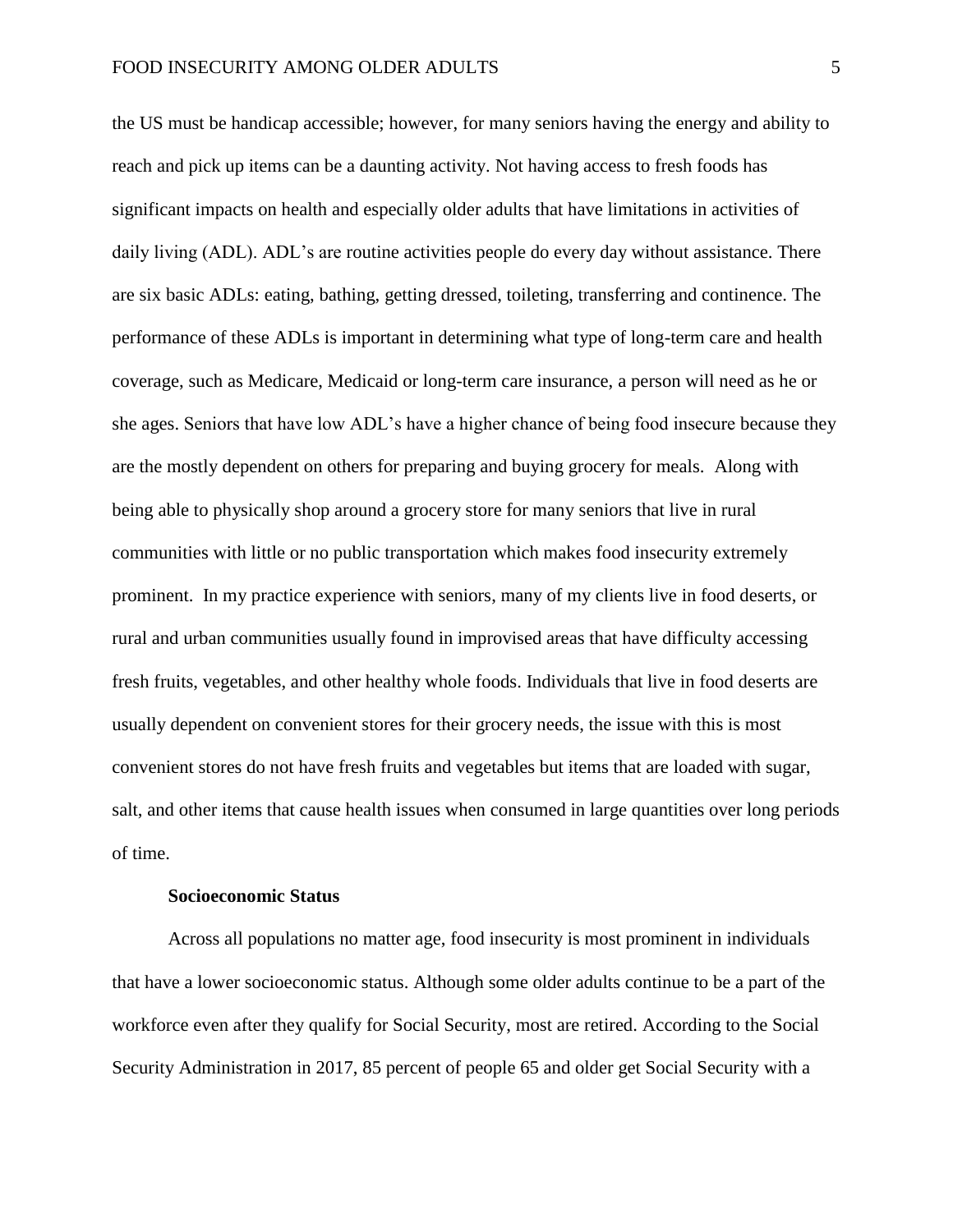the US must be handicap accessible; however, for many seniors having the energy and ability to reach and pick up items can be a daunting activity. Not having access to fresh foods has significant impacts on health and especially older adults that have limitations in activities of daily living (ADL). ADL's are routine activities people do every day without assistance. There are six basic ADLs: eating, bathing, getting dressed, toileting, transferring and continence. The performance of these ADLs is important in determining what type of long-term care and health coverage, such as [Medicare,](https://www.investopedia.com/terms/m/medicare.asp) [Medicaid](https://www.investopedia.com/terms/m/medicaid.asp) or long-term care insurance, a person will need as he or she ages. Seniors that have low ADL's have a higher chance of being food insecure because they are the mostly dependent on others for preparing and buying grocery for meals. Along with being able to physically shop around a grocery store for many seniors that live in rural communities with little or no public transportation which makes food insecurity extremely prominent. In my practice experience with seniors, many of my clients live in food deserts, or rural and urban communities usually found in improvised areas that have difficulty accessing fresh fruits, vegetables, and other healthy whole foods. Individuals that live in food deserts are usually dependent on convenient stores for their grocery needs, the issue with this is most convenient stores do not have fresh fruits and vegetables but items that are loaded with sugar, salt, and other items that cause health issues when consumed in large quantities over long periods of time.

#### **Socioeconomic Status**

Across all populations no matter age, food insecurity is most prominent in individuals that have a lower socioeconomic status. Although some older adults continue to be a part of the workforce even after they qualify for Social Security, most are retired. According to the Social Security Administration in 2017, 85 percent of people 65 and older get Social Security with a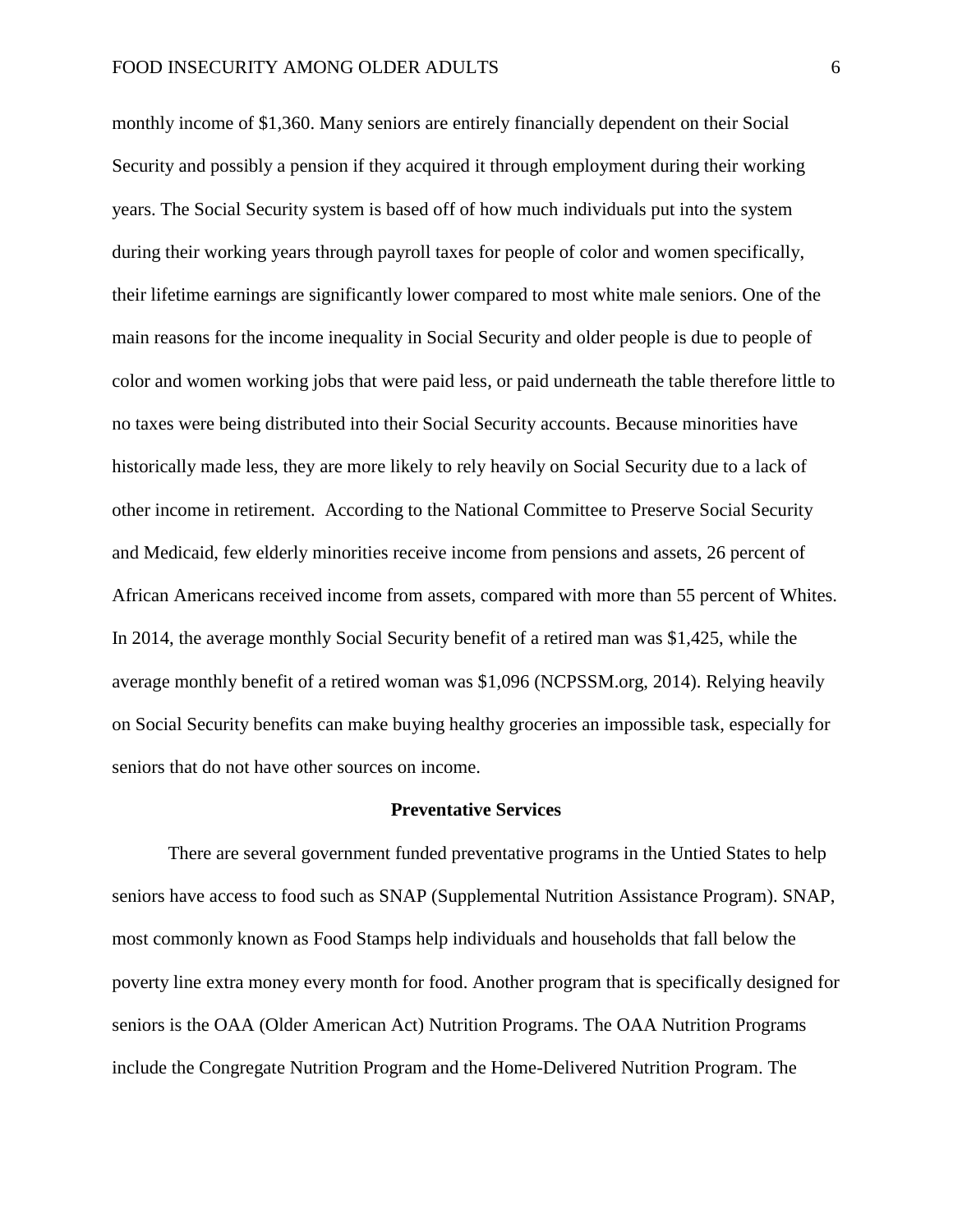monthly income of \$1,360. Many seniors are entirely financially dependent on their Social Security and possibly a pension if they acquired it through employment during their working years. The Social Security system is based off of how much individuals put into the system during their working years through payroll taxes for people of color and women specifically, their lifetime earnings are significantly lower compared to most white male seniors. One of the main reasons for the income inequality in Social Security and older people is due to people of color and women working jobs that were paid less, or paid underneath the table therefore little to no taxes were being distributed into their Social Security accounts. Because minorities have historically made less, they are more likely to rely heavily on Social Security due to a lack of other income in retirement. According to the National Committee to Preserve Social Security and Medicaid, few elderly minorities receive income from pensions and assets, 26 percent of African Americans received income from assets, compared with more than 55 percent of Whites. In 2014, the average monthly Social Security benefit of a retired man was \$1,425, while the average monthly benefit of a retired woman was \$1,096 (NCPSSM.org, 2014). Relying heavily on Social Security benefits can make buying healthy groceries an impossible task, especially for seniors that do not have other sources on income.

#### **Preventative Services**

There are several government funded preventative programs in the Untied States to help seniors have access to food such as SNAP (Supplemental Nutrition Assistance Program). SNAP, most commonly known as Food Stamps help individuals and households that fall below the poverty line extra money every month for food. Another program that is specifically designed for seniors is the OAA (Older American Act) Nutrition Programs. The OAA Nutrition Programs include the Congregate Nutrition Program and the Home-Delivered Nutrition Program. The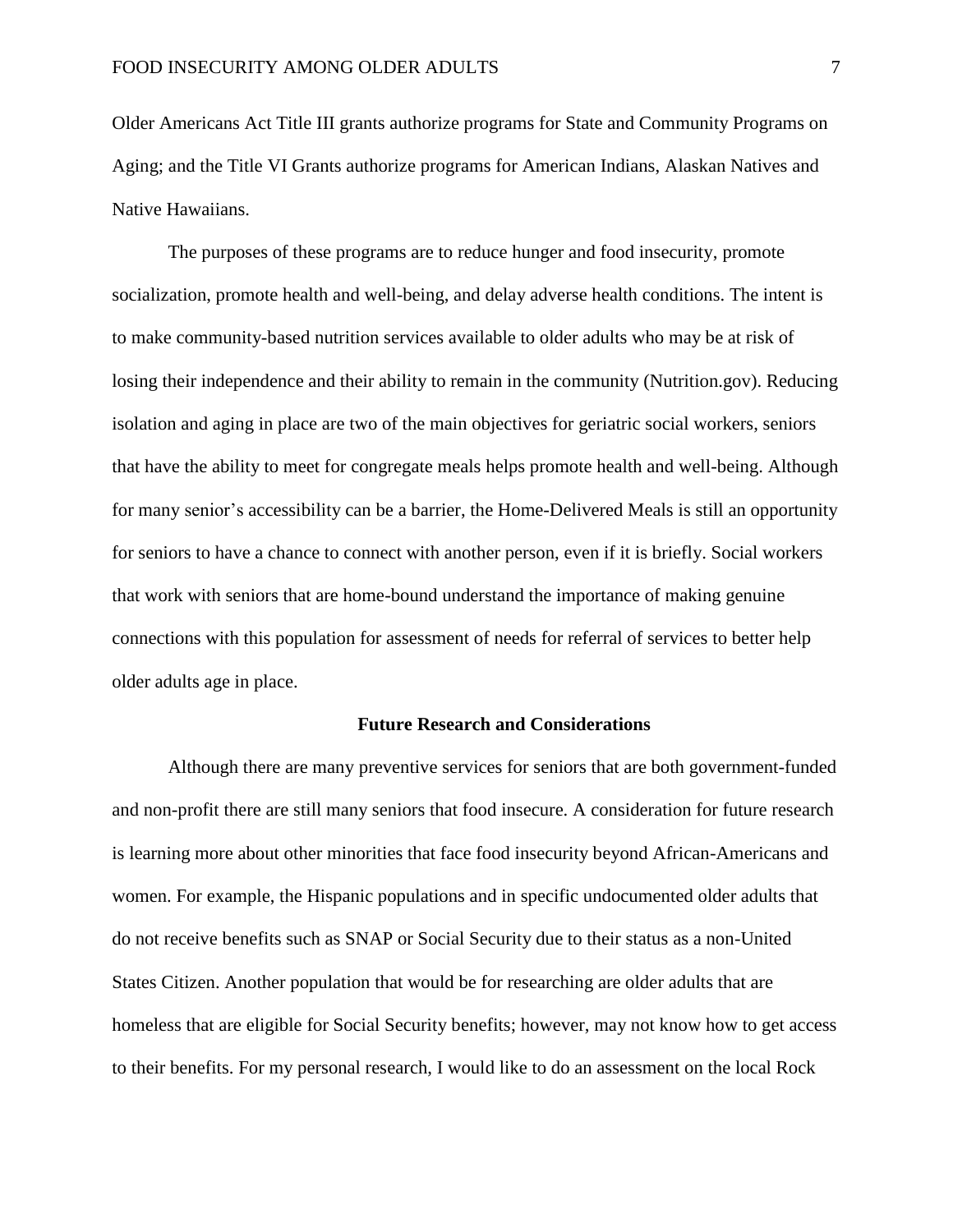Older Americans Act Title III grants authorize programs for State and Community Programs on Aging; and the Title VI Grants authorize programs for American Indians, Alaskan Natives and Native Hawaiians.

The purposes of these programs are to reduce hunger and food insecurity, promote socialization, promote health and well-being, and delay adverse health conditions. The intent is to make community-based nutrition services available to older adults who may be at risk of losing their independence and their ability to remain in the community (Nutrition.gov). Reducing isolation and aging in place are two of the main objectives for geriatric social workers, seniors that have the ability to meet for congregate meals helps promote health and well-being. Although for many senior's accessibility can be a barrier, the Home-Delivered Meals is still an opportunity for seniors to have a chance to connect with another person, even if it is briefly. Social workers that work with seniors that are home-bound understand the importance of making genuine connections with this population for assessment of needs for referral of services to better help older adults age in place.

#### **Future Research and Considerations**

Although there are many preventive services for seniors that are both government-funded and non-profit there are still many seniors that food insecure. A consideration for future research is learning more about other minorities that face food insecurity beyond African-Americans and women. For example, the Hispanic populations and in specific undocumented older adults that do not receive benefits such as SNAP or Social Security due to their status as a non-United States Citizen. Another population that would be for researching are older adults that are homeless that are eligible for Social Security benefits; however, may not know how to get access to their benefits. For my personal research, I would like to do an assessment on the local Rock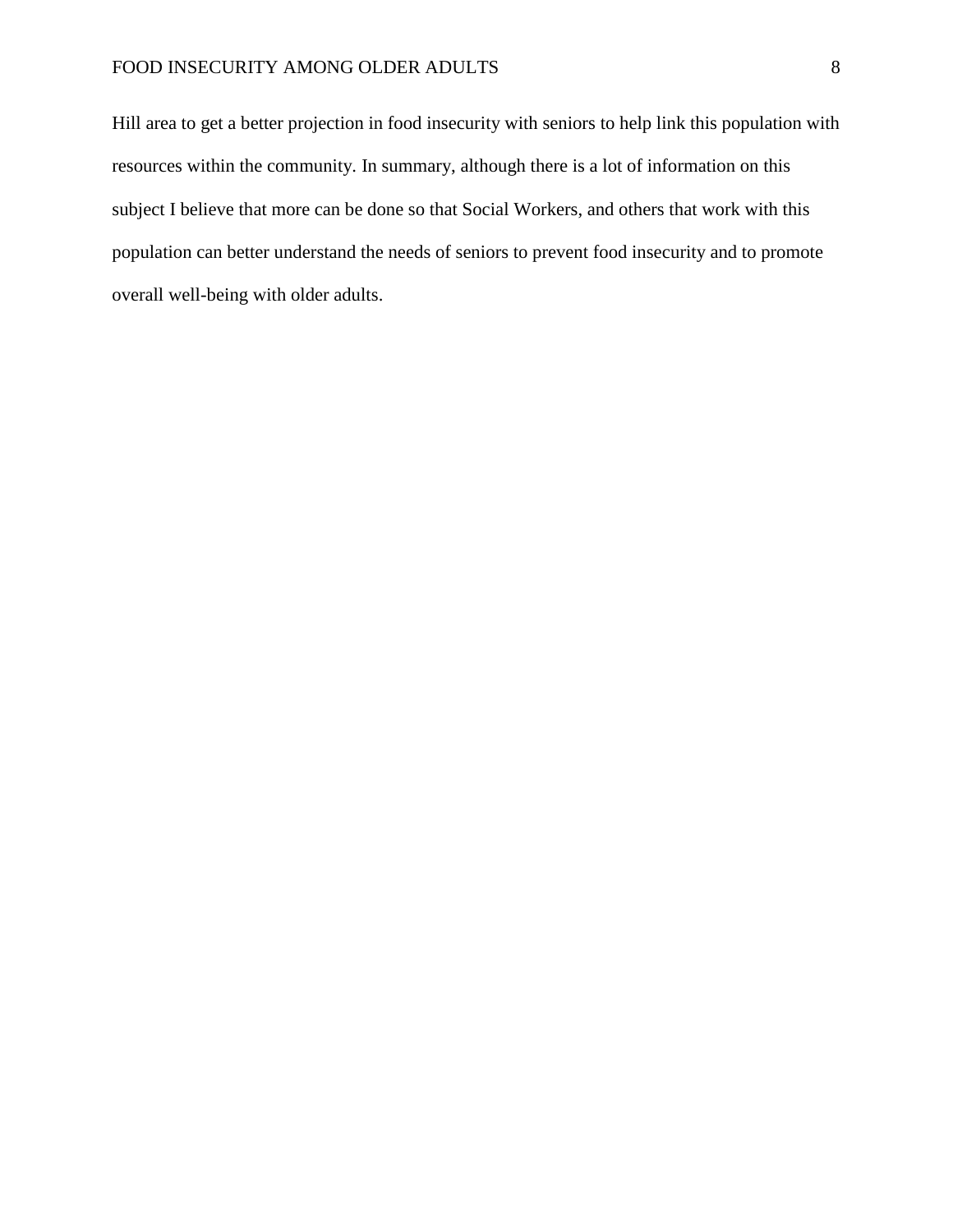# FOOD INSECURITY AMONG OLDER ADULTS 8

Hill area to get a better projection in food insecurity with seniors to help link this population with resources within the community. In summary, although there is a lot of information on this subject I believe that more can be done so that Social Workers, and others that work with this population can better understand the needs of seniors to prevent food insecurity and to promote overall well-being with older adults.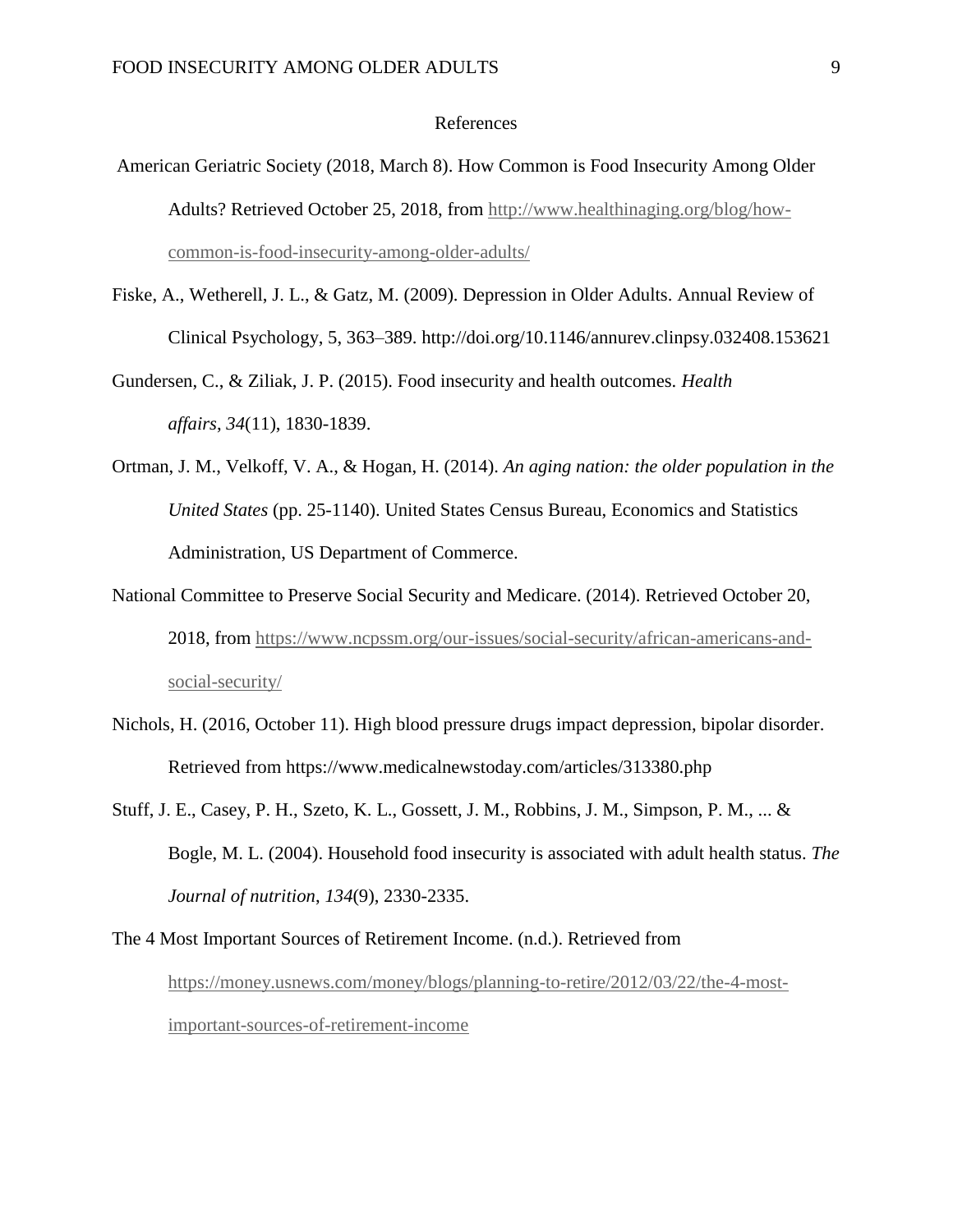## References

- American Geriatric Society (2018, March 8). How Common is Food Insecurity Among Older Adults? Retrieved October 25, 2018, from [http://www.healthinaging.org/blog/how](http://www.healthinaging.org/blog/how-common-is-food-insecurity-among-older-adults/)[common-is-food-insecurity-among-older-adults/](http://www.healthinaging.org/blog/how-common-is-food-insecurity-among-older-adults/)
- Fiske, A., Wetherell, J. L., & Gatz, M. (2009). Depression in Older Adults. Annual Review of Clinical Psychology, 5, 363–389. http://doi.org/10.1146/annurev.clinpsy.032408.153621

Gundersen, C., & Ziliak, J. P. (2015). Food insecurity and health outcomes. *Health affairs*, *34*(11), 1830-1839.

- Ortman, J. M., Velkoff, V. A., & Hogan, H. (2014). *An aging nation: the older population in the United States* (pp. 25-1140). United States Census Bureau, Economics and Statistics Administration, US Department of Commerce.
- National Committee to Preserve Social Security and Medicare. (2014). Retrieved October 20, 2018, from [https://www.ncpssm.org/our-issues/social-security/african-americans-and](https://www.ncpssm.org/our-issues/social-security/african-americans-and-social-security/)[social-security/](https://www.ncpssm.org/our-issues/social-security/african-americans-and-social-security/)
- Nichols, H. (2016, October 11). High blood pressure drugs impact depression, bipolar disorder. Retrieved from https://www.medicalnewstoday.com/articles/313380.php
- Stuff, J. E., Casey, P. H., Szeto, K. L., Gossett, J. M., Robbins, J. M., Simpson, P. M., ... & Bogle, M. L. (2004). Household food insecurity is associated with adult health status. *The Journal of nutrition*, *134*(9), 2330-2335.

The 4 Most Important Sources of Retirement Income. (n.d.). Retrieved from [https://money.usnews.com/money/blogs/planning-to-retire/2012/03/22/the-4-most](https://money.usnews.com/money/blogs/planning-to-retire/2012/03/22/the-4-most-important-sources-of-retirement-income)[important-sources-of-retirement-income](https://money.usnews.com/money/blogs/planning-to-retire/2012/03/22/the-4-most-important-sources-of-retirement-income)